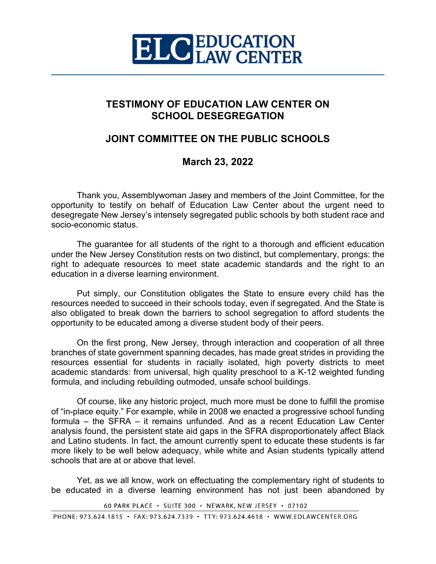

### **TESTIMONY OF EDUCATION LAW CENTER ON SCHOOL DESEGREGATION**

# **JOINT COMMITTEE ON THE PUBLIC SCHOOLS**

# **March 23, 2022**

Thank you, Assemblywoman Jasey and members of the Joint Committee, for the opportunity to testify on behalf of Education Law Center about the urgent need to desegregate New Jersey's intensely segregated public schools by both student race and socio-economic status.

The guarantee for all students of the right to a thorough and efficient education under the New Jersey Constitution rests on two distinct, but complementary, prongs: the right to adequate resources to meet state academic standards and the right to an education in a diverse learning environment.

Put simply, our Constitution obligates the State to ensure every child has the resources needed to succeed in their schools today, even if segregated. And the State is also obligated to break down the barriers to school segregation to afford students the opportunity to be educated among a diverse student body of their peers.

On the first prong, New Jersey, through interaction and cooperation of all three branches of state government spanning decades, has made great strides in providing the resources essential for students in racially isolated, high poverty districts to meet academic standards: from universal, high quality preschool to a K-12 weighted funding formula, and including rebuilding outmoded, unsafe school buildings.

Of course, like any historic project, much more must be done to fulfill the promise of "in-place equity." For example, while in 2008 we enacted a progressive school funding formula – the SFRA – it remains unfunded. And as a recent Education Law Center analysis found, the persistent state aid gaps in the SFRA disproportionately affect Black and Latino students. In fact, the amount currently spent to educate these students is far more likely to be well below adequacy, while white and Asian students typically attend schools that are at or above that level.

Yet, as we all know, work on effectuating the complementary right of students to be educated in a diverse learning environment has not just been abandoned by

60 PARK PLACE · SUITE 300 · NEWARK, NEW JERSEY · 07102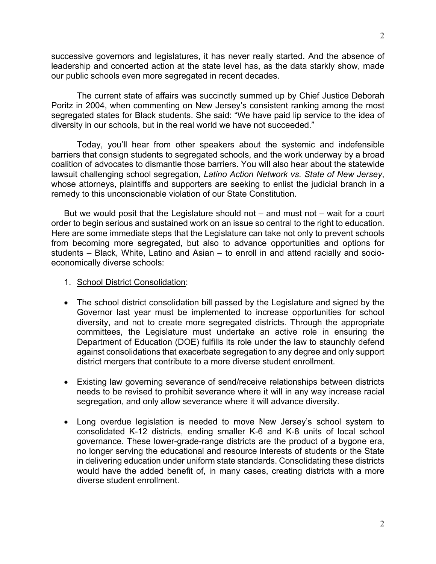successive governors and legislatures, it has never really started. And the absence of leadership and concerted action at the state level has, as the data starkly show, made our public schools even more segregated in recent decades.

The current state of affairs was succinctly summed up by Chief Justice Deborah Poritz in 2004, when commenting on New Jersey's consistent ranking among the most segregated states for Black students. She said: "We have paid lip service to the idea of diversity in our schools, but in the real world we have not succeeded."

Today, you'll hear from other speakers about the systemic and indefensible barriers that consign students to segregated schools, and the work underway by a broad coalition of advocates to dismantle those barriers. You will also hear about the statewide lawsuit challenging school segregation, *Latino Action Network vs. State of New Jersey*, whose attorneys, plaintiffs and supporters are seeking to enlist the judicial branch in a remedy to this unconscionable violation of our State Constitution.

But we would posit that the Legislature should not  $-$  and must not  $-$  wait for a court order to begin serious and sustained work on an issue so central to the right to education. Here are some immediate steps that the Legislature can take not only to prevent schools from becoming more segregated, but also to advance opportunities and options for students – Black, White, Latino and Asian – to enroll in and attend racially and socioeconomically diverse schools:

- 1. School District Consolidation:
- The school district consolidation bill passed by the Legislature and signed by the Governor last year must be implemented to increase opportunities for school diversity, and not to create more segregated districts. Through the appropriate committees, the Legislature must undertake an active role in ensuring the Department of Education (DOE) fulfills its role under the law to staunchly defend against consolidations that exacerbate segregation to any degree and only support district mergers that contribute to a more diverse student enrollment.
- Existing law governing severance of send/receive relationships between districts needs to be revised to prohibit severance where it will in any way increase racial segregation, and only allow severance where it will advance diversity.
- Long overdue legislation is needed to move New Jersey's school system to consolidated K-12 districts, ending smaller K-6 and K-8 units of local school governance. These lower-grade-range districts are the product of a bygone era, no longer serving the educational and resource interests of students or the State in delivering education under uniform state standards. Consolidating these districts would have the added benefit of, in many cases, creating districts with a more diverse student enrollment.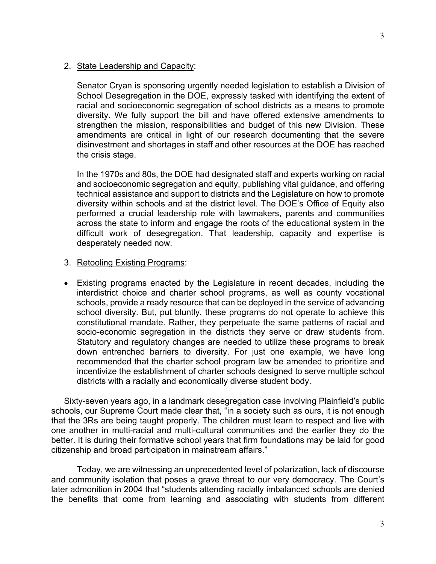#### 2. State Leadership and Capacity:

Senator Cryan is sponsoring urgently needed legislation to establish a Division of School Desegregation in the DOE, expressly tasked with identifying the extent of racial and socioeconomic segregation of school districts as a means to promote diversity. We fully support the bill and have offered extensive amendments to strengthen the mission, responsibilities and budget of this new Division. These amendments are critical in light of our research documenting that the severe disinvestment and shortages in staff and other resources at the DOE has reached the crisis stage.

In the 1970s and 80s, the DOE had designated staff and experts working on racial and socioeconomic segregation and equity, publishing vital guidance, and offering technical assistance and support to districts and the Legislature on how to promote diversity within schools and at the district level. The DOE's Office of Equity also performed a crucial leadership role with lawmakers, parents and communities across the state to inform and engage the roots of the educational system in the difficult work of desegregation. That leadership, capacity and expertise is desperately needed now.

#### 3. Retooling Existing Programs:

• Existing programs enacted by the Legislature in recent decades, including the interdistrict choice and charter school programs, as well as county vocational schools, provide a ready resource that can be deployed in the service of advancing school diversity. But, put bluntly, these programs do not operate to achieve this constitutional mandate. Rather, they perpetuate the same patterns of racial and socio-economic segregation in the districts they serve or draw students from. Statutory and regulatory changes are needed to utilize these programs to break down entrenched barriers to diversity. For just one example, we have long recommended that the charter school program law be amended to prioritize and incentivize the establishment of charter schools designed to serve multiple school districts with a racially and economically diverse student body.

Sixty-seven years ago, in a landmark desegregation case involving Plainfield's public schools, our Supreme Court made clear that, "in a society such as ours, it is not enough that the 3Rs are being taught properly. The children must learn to respect and live with one another in multi-racial and multi-cultural communities and the earlier they do the better. It is during their formative school years that firm foundations may be laid for good citizenship and broad participation in mainstream affairs."

Today, we are witnessing an unprecedented level of polarization, lack of discourse and community isolation that poses a grave threat to our very democracy. The Court's later admonition in 2004 that "students attending racially imbalanced schools are denied the benefits that come from learning and associating with students from different